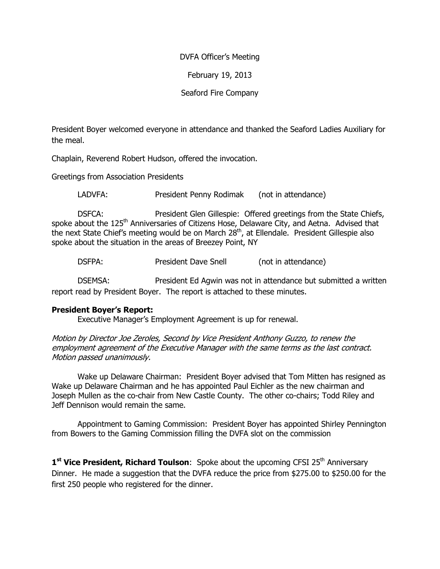## DVFA Officer's Meeting

February 19, 2013

Seaford Fire Company

President Boyer welcomed everyone in attendance and thanked the Seaford Ladies Auxiliary for the meal.

Chaplain, Reverend Robert Hudson, offered the invocation.

Greetings from Association Presidents

LADVFA: President Penny Rodimak (not in attendance)

 DSFCA: President Glen Gillespie: Offered greetings from the State Chiefs, spoke about the 125<sup>th</sup> Anniversaries of Citizens Hose, Delaware City, and Aetna. Advised that the next State Chief's meeting would be on March 28<sup>th</sup>, at Ellendale. President Gillespie also spoke about the situation in the areas of Breezey Point, NY

DSFPA: President Dave Snell (not in attendance)

DSEMSA: President Ed Agwin was not in attendance but submitted a written report read by President Boyer. The report is attached to these minutes.

## President Boyer's Report:

Executive Manager's Employment Agreement is up for renewal.

Motion by Director Joe Zeroles, Second by Vice President Anthony Guzzo, to renew the employment agreement of the Executive Manager with the same terms as the last contract. Motion passed unanimously.

 Wake up Delaware Chairman: President Boyer advised that Tom Mitten has resigned as Wake up Delaware Chairman and he has appointed Paul Eichler as the new chairman and Joseph Mullen as the co-chair from New Castle County. The other co-chairs; Todd Riley and Jeff Dennison would remain the same.

 Appointment to Gaming Commission: President Boyer has appointed Shirley Pennington from Bowers to the Gaming Commission filling the DVFA slot on the commission

1<sup>st</sup> Vice President, Richard Toulson: Spoke about the upcoming CFSI 25<sup>th</sup> Anniversary Dinner. He made a suggestion that the DVFA reduce the price from \$275.00 to \$250.00 for the first 250 people who registered for the dinner.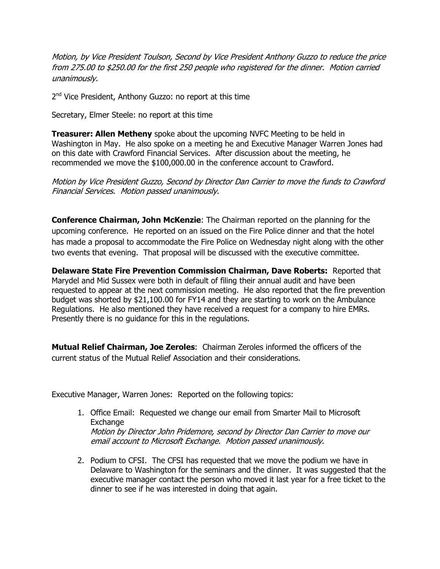Motion, by Vice President Toulson, Second by Vice President Anthony Guzzo to reduce the price from 275.00 to \$250.00 for the first 250 people who registered for the dinner. Motion carried unanimously.

2<sup>nd</sup> Vice President, Anthony Guzzo: no report at this time

Secretary, Elmer Steele: no report at this time

**Treasurer: Allen Metheny** spoke about the upcoming NVFC Meeting to be held in Washington in May. He also spoke on a meeting he and Executive Manager Warren Jones had on this date with Crawford Financial Services. After discussion about the meeting, he recommended we move the \$100,000.00 in the conference account to Crawford.

Motion by Vice President Guzzo, Second by Director Dan Carrier to move the funds to Crawford Financial Services. Motion passed unanimously.

**Conference Chairman, John McKenzie:** The Chairman reported on the planning for the upcoming conference. He reported on an issued on the Fire Police dinner and that the hotel has made a proposal to accommodate the Fire Police on Wednesday night along with the other two events that evening. That proposal will be discussed with the executive committee.

Delaware State Fire Prevention Commission Chairman, Dave Roberts: Reported that Marydel and Mid Sussex were both in default of filing their annual audit and have been requested to appear at the next commission meeting. He also reported that the fire prevention budget was shorted by \$21,100.00 for FY14 and they are starting to work on the Ambulance Regulations. He also mentioned they have received a request for a company to hire EMRs. Presently there is no guidance for this in the regulations.

Mutual Relief Chairman, Joe Zeroles: Chairman Zeroles informed the officers of the current status of the Mutual Relief Association and their considerations.

Executive Manager, Warren Jones: Reported on the following topics:

- 1. Office Email: Requested we change our email from Smarter Mail to Microsoft Exchange Motion by Director John Pridemore, second by Director Dan Carrier to move our email account to Microsoft Exchange. Motion passed unanimously.
- 2. Podium to CFSI. The CFSI has requested that we move the podium we have in Delaware to Washington for the seminars and the dinner. It was suggested that the executive manager contact the person who moved it last year for a free ticket to the dinner to see if he was interested in doing that again.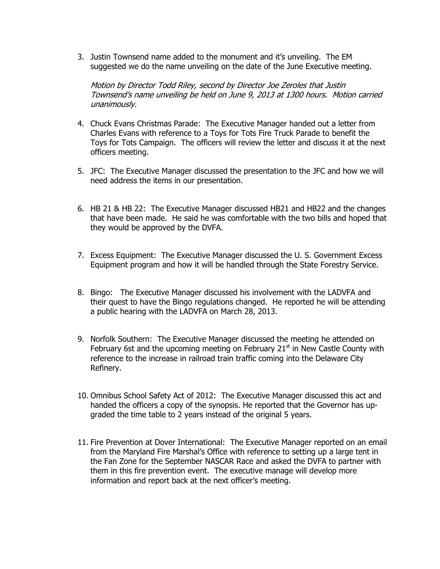3. Justin Townsend name added to the monument and it's unveiling. The EM suggested we do the name unveiling on the date of the June Executive meeting.

Motion by Director Todd Riley, second by Director Joe Zeroles that Justin Townsend's name unveiling be held on June 9, 2013 at 1300 hours. Motion carried unanimously.

- 4. Chuck Evans Christmas Parade: The Executive Manager handed out a letter from Charles Evans with reference to a Toys for Tots Fire Truck Parade to benefit the Toys for Tots Campaign. The officers will review the letter and discuss it at the next officers meeting.
- 5. JFC: The Executive Manager discussed the presentation to the JFC and how we will need address the items in our presentation.
- 6. HB 21 & HB 22: The Executive Manager discussed HB21 and HB22 and the changes that have been made. He said he was comfortable with the two bills and hoped that they would be approved by the DVFA.
- 7. Excess Equipment: The Executive Manager discussed the U. S. Government Excess Equipment program and how it will be handled through the State Forestry Service.
- 8. Bingo: The Executive Manager discussed his involvement with the LADVFA and their quest to have the Bingo regulations changed. He reported he will be attending a public hearing with the LADVFA on March 28, 2013.
- 9. Norfolk Southern: The Executive Manager discussed the meeting he attended on February 6st and the upcoming meeting on February  $21<sup>st</sup>$  in New Castle County with reference to the increase in railroad train traffic coming into the Delaware City Refinery.
- 10. Omnibus School Safety Act of 2012: The Executive Manager discussed this act and handed the officers a copy of the synopsis. He reported that the Governor has upgraded the time table to 2 years instead of the original 5 years.
- 11. Fire Prevention at Dover International: The Executive Manager reported on an email from the Maryland Fire Marshal's Office with reference to setting up a large tent in the Fan Zone for the September NASCAR Race and asked the DVFA to partner with them in this fire prevention event. The executive manage will develop more information and report back at the next officer's meeting.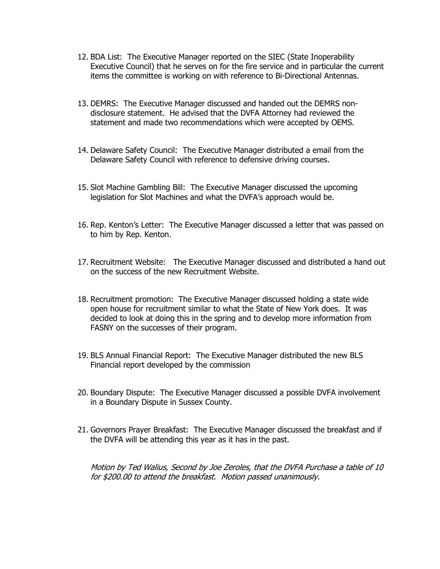- 12. BDA List: The Executive Manager reported on the SIEC (State Inoperability Executive Council) that he serves on for the fire service and in particular the current items the committee is working on with reference to Bi-Directional Antennas.
- 13. DEMRS: The Executive Manager discussed and handed out the DEMRS nondisclosure statement. He advised that the DVFA Attorney had reviewed the statement and made two recommendations which were accepted by OEMS.
- 14. Delaware Safety Council: The Executive Manager distributed a email from the Delaware Safety Council with reference to defensive driving courses.
- 15. Slot Machine Gambling Bill: The Executive Manager discussed the upcoming legislation for Slot Machines and what the DVFA's approach would be.
- 16. Rep. Kenton's Letter: The Executive Manager discussed a letter that was passed on to him by Rep. Kenton.
- 17. Recruitment Website: The Executive Manager discussed and distributed a hand out on the success of the new Recruitment Website.
- 18. Recruitment promotion: The Executive Manager discussed holding a state wide open house for recruitment similar to what the State of New York does. It was decided to look at doing this in the spring and to develop more information from FASNY on the successes of their program.
- 19. BLS Annual Financial Report: The Executive Manager distributed the new BLS Financial report developed by the commission
- 20. Boundary Dispute: The Executive Manager discussed a possible DVFA involvement in a Boundary Dispute in Sussex County.
- 21. Governors Prayer Breakfast: The Executive Manager discussed the breakfast and if the DVFA will be attending this year as it has in the past.

Motion by Ted Walius, Second by Joe Zeroles, that the DVFA Purchase a table of 10 for \$200.00 to attend the breakfast. Motion passed unanimously.